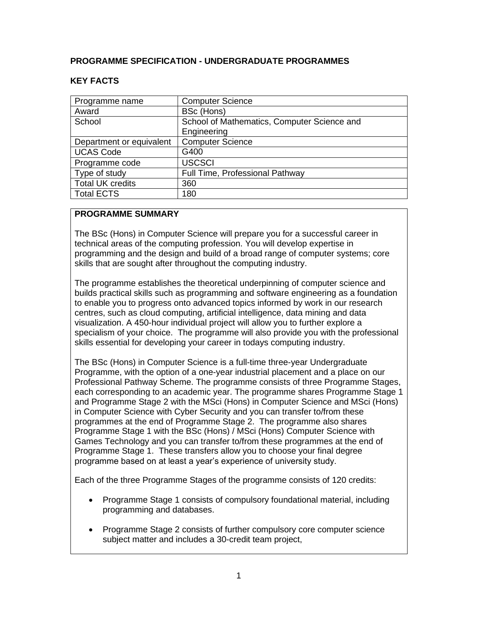# **PROGRAMME SPECIFICATION - UNDERGRADUATE PROGRAMMES**

# **KEY FACTS**

| Programme name           | <b>Computer Science</b>                     |
|--------------------------|---------------------------------------------|
| Award                    | BSc (Hons)                                  |
| School                   | School of Mathematics, Computer Science and |
|                          | Engineering                                 |
| Department or equivalent | <b>Computer Science</b>                     |
| <b>UCAS Code</b>         | G400                                        |
| Programme code           | <b>USCSCI</b>                               |
| Type of study            | Full Time, Professional Pathway             |
| <b>Total UK credits</b>  | 360                                         |
| <b>Total ECTS</b>        | 180                                         |

### **PROGRAMME SUMMARY**

The BSc (Hons) in Computer Science will prepare you for a successful career in technical areas of the computing profession. You will develop expertise in programming and the design and build of a broad range of computer systems; core skills that are sought after throughout the computing industry.

The programme establishes the theoretical underpinning of computer science and builds practical skills such as programming and software engineering as a foundation to enable you to progress onto advanced topics informed by work in our research centres, such as cloud computing, artificial intelligence, data mining and data visualization. A 450-hour individual project will allow you to further explore a specialism of your choice. The programme will also provide you with the professional skills essential for developing your career in todays computing industry.

The BSc (Hons) in Computer Science is a full-time three-year Undergraduate Programme, with the option of a one-year industrial placement and a place on our Professional Pathway Scheme. The programme consists of three Programme Stages, each corresponding to an academic year. The programme shares Programme Stage 1 and Programme Stage 2 with the MSci (Hons) in Computer Science and MSci (Hons) in Computer Science with Cyber Security and you can transfer to/from these programmes at the end of Programme Stage 2. The programme also shares Programme Stage 1 with the BSc (Hons) / MSci (Hons) Computer Science with Games Technology and you can transfer to/from these programmes at the end of Programme Stage 1. These transfers allow you to choose your final degree programme based on at least a year's experience of university study.

Each of the three Programme Stages of the programme consists of 120 credits:

- Programme Stage 1 consists of compulsory foundational material, including programming and databases.
- Programme Stage 2 consists of further compulsory core computer science subject matter and includes a 30-credit team project,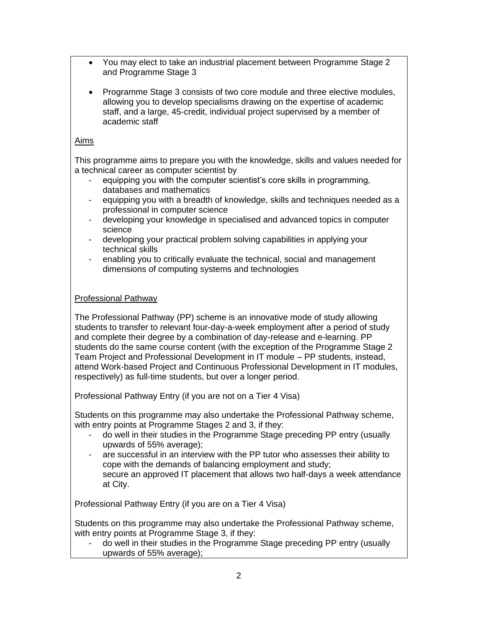- You may elect to take an industrial placement between Programme Stage 2 and Programme Stage 3
- Programme Stage 3 consists of two core module and three elective modules, allowing you to develop specialisms drawing on the expertise of academic staff, and a large, 45-credit, individual project supervised by a member of academic staff

# Aims

This programme aims to prepare you with the knowledge, skills and values needed for a technical career as computer scientist by

- equipping you with the computer scientist's core skills in programming, databases and mathematics
- equipping you with a breadth of knowledge, skills and techniques needed as a professional in computer science
- developing your knowledge in specialised and advanced topics in computer science
- developing your practical problem solving capabilities in applying your technical skills
- enabling you to critically evaluate the technical, social and management dimensions of computing systems and technologies

# Professional Pathway

The Professional Pathway (PP) scheme is an innovative mode of study allowing students to transfer to relevant four-day-a-week employment after a period of study and complete their degree by a combination of day-release and e-learning. PP students do the same course content (with the exception of the Programme Stage 2 Team Project and Professional Development in IT module – PP students, instead, attend Work-based Project and Continuous Professional Development in IT modules, respectively) as full-time students, but over a longer period.

Professional Pathway Entry (if you are not on a Tier 4 Visa)

Students on this programme may also undertake the Professional Pathway scheme, with entry points at Programme Stages 2 and 3, if they:

- do well in their studies in the Programme Stage preceding PP entry (usually upwards of 55% average);
- are successful in an interview with the PP tutor who assesses their ability to cope with the demands of balancing employment and study; secure an approved IT placement that allows two half-days a week attendance at City.

Professional Pathway Entry (if you are on a Tier 4 Visa)

Students on this programme may also undertake the Professional Pathway scheme, with entry points at Programme Stage 3, if they:

- do well in their studies in the Programme Stage preceding PP entry (usually upwards of 55% average);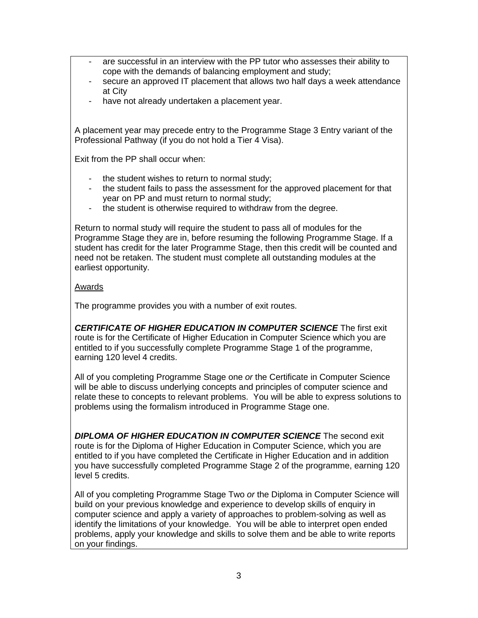- are successful in an interview with the PP tutor who assesses their ability to cope with the demands of balancing employment and study;
- secure an approved IT placement that allows two half days a week attendance at City
- have not already undertaken a placement year.

A placement year may precede entry to the Programme Stage 3 Entry variant of the Professional Pathway (if you do not hold a Tier 4 Visa).

Exit from the PP shall occur when:

- the student wishes to return to normal study;
- the student fails to pass the assessment for the approved placement for that year on PP and must return to normal study;
- the student is otherwise required to withdraw from the degree.

Return to normal study will require the student to pass all of modules for the Programme Stage they are in, before resuming the following Programme Stage. If a student has credit for the later Programme Stage, then this credit will be counted and need not be retaken. The student must complete all outstanding modules at the earliest opportunity.

### Awards

The programme provides you with a number of exit routes.

*CERTIFICATE OF HIGHER EDUCATION IN COMPUTER SCIENCE* The first exit route is for the Certificate of Higher Education in Computer Science which you are entitled to if you successfully complete Programme Stage 1 of the programme, earning 120 level 4 credits.

All of you completing Programme Stage one *or* the Certificate in Computer Science will be able to discuss underlying concepts and principles of computer science and relate these to concepts to relevant problems. You will be able to express solutions to problems using the formalism introduced in Programme Stage one.

*DIPLOMA OF HIGHER EDUCATION IN COMPUTER SCIENCE* The second exit route is for the Diploma of Higher Education in Computer Science, which you are entitled to if you have completed the Certificate in Higher Education and in addition you have successfully completed Programme Stage 2 of the programme, earning 120 level 5 credits.

All of you completing Programme Stage Two *or* the Diploma in Computer Science will build on your previous knowledge and experience to develop skills of enquiry in computer science and apply a variety of approaches to problem-solving as well as identify the limitations of your knowledge. You will be able to interpret open ended problems, apply your knowledge and skills to solve them and be able to write reports on your findings.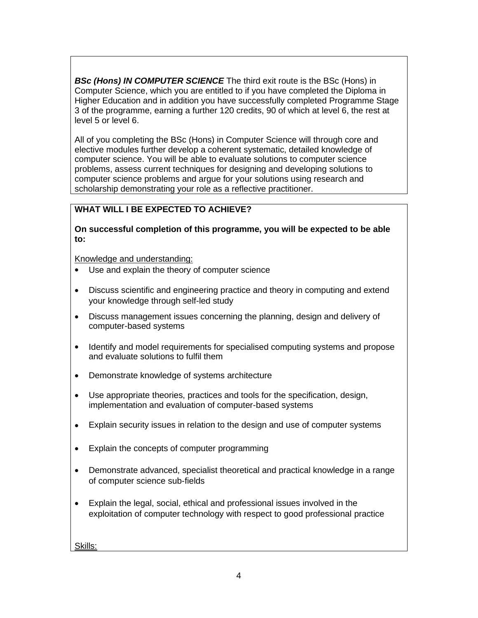*BSc (Hons) IN COMPUTER SCIENCE* The third exit route is the BSc (Hons) in Computer Science, which you are entitled to if you have completed the Diploma in Higher Education and in addition you have successfully completed Programme Stage 3 of the programme, earning a further 120 credits, 90 of which at level 6, the rest at level 5 or level 6.

All of you completing the BSc (Hons) in Computer Science will through core and elective modules further develop a coherent systematic, detailed knowledge of computer science. You will be able to evaluate solutions to computer science problems, assess current techniques for designing and developing solutions to computer science problems and argue for your solutions using research and scholarship demonstrating your role as a reflective practitioner.

# **WHAT WILL I BE EXPECTED TO ACHIEVE?**

**On successful completion of this programme, you will be expected to be able to:**

Knowledge and understanding:

- Use and explain the theory of computer science
- Discuss scientific and engineering practice and theory in computing and extend your knowledge through self-led study
- Discuss management issues concerning the planning, design and delivery of computer-based systems
- Identify and model requirements for specialised computing systems and propose and evaluate solutions to fulfil them
- Demonstrate knowledge of systems architecture
- Use appropriate theories, practices and tools for the specification, design, implementation and evaluation of computer-based systems
- Explain security issues in relation to the design and use of computer systems
- Explain the concepts of computer programming
- Demonstrate advanced, specialist theoretical and practical knowledge in a range of computer science sub-fields
- Explain the legal, social, ethical and professional issues involved in the exploitation of computer technology with respect to good professional practice

Skills: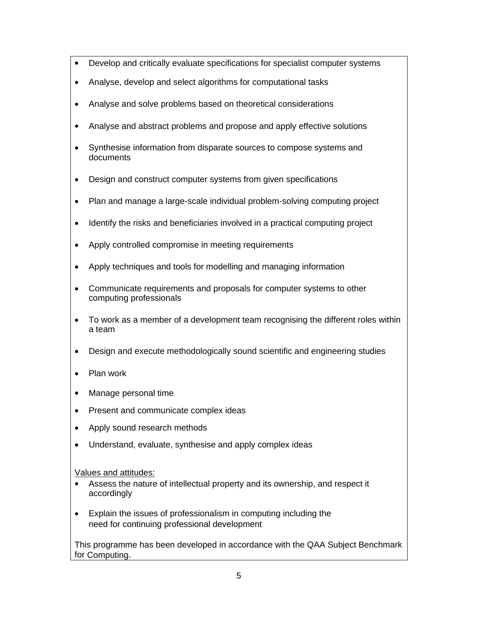- Develop and critically evaluate specifications for specialist computer systems
- Analyse, develop and select algorithms for computational tasks
- Analyse and solve problems based on theoretical considerations
- Analyse and abstract problems and propose and apply effective solutions
- Synthesise information from disparate sources to compose systems and documents
- Design and construct computer systems from given specifications
- Plan and manage a large-scale individual problem-solving computing project
- Identify the risks and beneficiaries involved in a practical computing project
- Apply controlled compromise in meeting requirements
- Apply techniques and tools for modelling and managing information
- Communicate requirements and proposals for computer systems to other computing professionals
- To work as a member of a development team recognising the different roles within a team
- Design and execute methodologically sound scientific and engineering studies
- Plan work
- Manage personal time
- Present and communicate complex ideas
- Apply sound research methods
- Understand, evaluate, synthesise and apply complex ideas

Values and attitudes:

- Assess the nature of intellectual property and its ownership, and respect it accordingly
- Explain the issues of professionalism in computing including the need for continuing professional development

This programme has been developed in accordance with the QAA Subject Benchmark for Computing.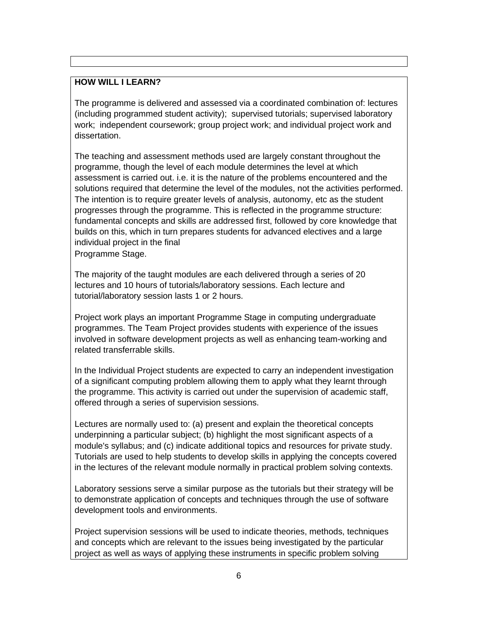### **HOW WILL I LEARN?**

The programme is delivered and assessed via a coordinated combination of: lectures (including programmed student activity); supervised tutorials; supervised laboratory work; independent coursework; group project work; and individual project work and dissertation.

The teaching and assessment methods used are largely constant throughout the programme, though the level of each module determines the level at which assessment is carried out. i.e. it is the nature of the problems encountered and the solutions required that determine the level of the modules, not the activities performed. The intention is to require greater levels of analysis, autonomy, etc as the student progresses through the programme. This is reflected in the programme structure: fundamental concepts and skills are addressed first, followed by core knowledge that builds on this, which in turn prepares students for advanced electives and a large individual project in the final

Programme Stage.

The majority of the taught modules are each delivered through a series of 20 lectures and 10 hours of tutorials/laboratory sessions. Each lecture and tutorial/laboratory session lasts 1 or 2 hours.

Project work plays an important Programme Stage in computing undergraduate programmes. The Team Project provides students with experience of the issues involved in software development projects as well as enhancing team-working and related transferrable skills.

In the Individual Project students are expected to carry an independent investigation of a significant computing problem allowing them to apply what they learnt through the programme. This activity is carried out under the supervision of academic staff, offered through a series of supervision sessions.

Lectures are normally used to: (a) present and explain the theoretical concepts underpinning a particular subject; (b) highlight the most significant aspects of a module's syllabus; and (c) indicate additional topics and resources for private study. Tutorials are used to help students to develop skills in applying the concepts covered in the lectures of the relevant module normally in practical problem solving contexts.

Laboratory sessions serve a similar purpose as the tutorials but their strategy will be to demonstrate application of concepts and techniques through the use of software development tools and environments.

Project supervision sessions will be used to indicate theories, methods, techniques and concepts which are relevant to the issues being investigated by the particular project as well as ways of applying these instruments in specific problem solving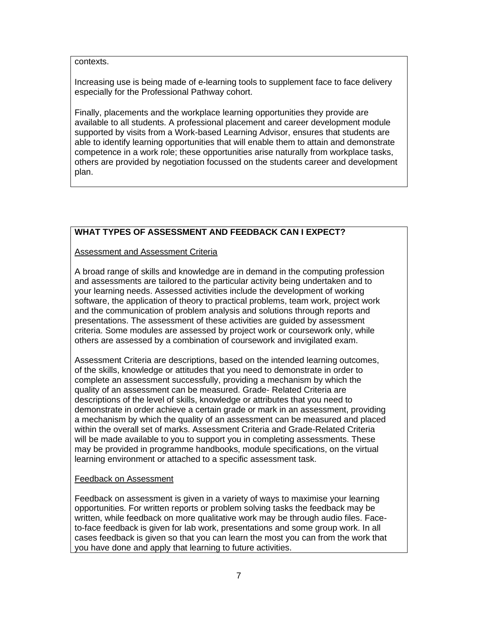#### contexts.

Increasing use is being made of e-learning tools to supplement face to face delivery especially for the Professional Pathway cohort.

Finally, placements and the workplace learning opportunities they provide are available to all students. A professional placement and career development module supported by visits from a Work-based Learning Advisor, ensures that students are able to identify learning opportunities that will enable them to attain and demonstrate competence in a work role; these opportunities arise naturally from workplace tasks, others are provided by negotiation focussed on the students career and development plan.

# **WHAT TYPES OF ASSESSMENT AND FEEDBACK CAN I EXPECT?**

#### Assessment and Assessment Criteria

A broad range of skills and knowledge are in demand in the computing profession and assessments are tailored to the particular activity being undertaken and to your learning needs. Assessed activities include the development of working software, the application of theory to practical problems, team work, project work and the communication of problem analysis and solutions through reports and presentations. The assessment of these activities are guided by assessment criteria. Some modules are assessed by project work or coursework only, while others are assessed by a combination of coursework and invigilated exam.

Assessment Criteria are descriptions, based on the intended learning outcomes, of the skills, knowledge or attitudes that you need to demonstrate in order to complete an assessment successfully, providing a mechanism by which the quality of an assessment can be measured. Grade- Related Criteria are descriptions of the level of skills, knowledge or attributes that you need to demonstrate in order achieve a certain grade or mark in an assessment, providing a mechanism by which the quality of an assessment can be measured and placed within the overall set of marks. Assessment Criteria and Grade-Related Criteria will be made available to you to support you in completing assessments. These may be provided in programme handbooks, module specifications, on the virtual learning environment or attached to a specific assessment task.

#### Feedback on Assessment

Feedback on assessment is given in a variety of ways to maximise your learning opportunities. For written reports or problem solving tasks the feedback may be written, while feedback on more qualitative work may be through audio files. Faceto-face feedback is given for lab work, presentations and some group work. In all cases feedback is given so that you can learn the most you can from the work that you have done and apply that learning to future activities.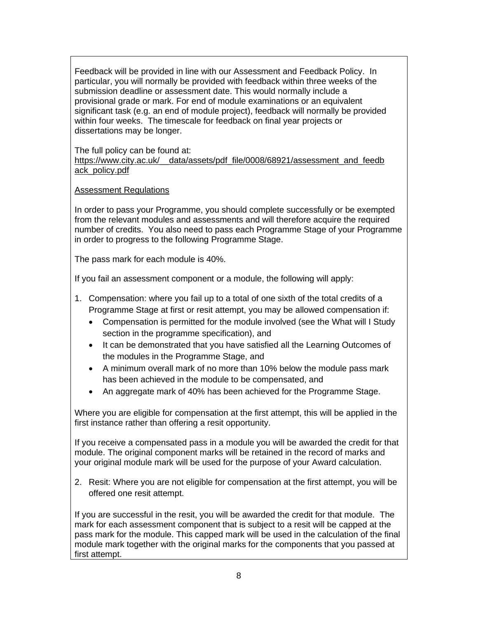Feedback will be provided in line with our Assessment and Feedback Policy. In particular, you will normally be provided with feedback within three weeks of the submission deadline or assessment date. This would normally include a provisional grade or mark. For end of module examinations or an equivalent significant task (e.g. an end of module project), feedback will normally be provided within four weeks. The timescale for feedback on final year projects or dissertations may be longer.

The full policy can be found at: [https://www.city.ac.uk/\\_\\_data/assets/pdf\\_file/0008/68921/assessment\\_and\\_feedb](https://www.city.ac.uk/__data/assets/pdf_file/0008/68921/assessment_and_feedback_policy.pdf) [ack\\_policy.pdf](https://www.city.ac.uk/__data/assets/pdf_file/0008/68921/assessment_and_feedback_policy.pdf)

### Assessment Regulations

In order to pass your Programme, you should complete successfully or be exempted from the relevant modules and assessments and will therefore acquire the required number of credits. You also need to pass each Programme Stage of your Programme in order to progress to the following Programme Stage.

The pass mark for each module is 40%.

If you fail an assessment component or a module, the following will apply:

- 1. Compensation: where you fail up to a total of one sixth of the total credits of a Programme Stage at first or resit attempt, you may be allowed compensation if:
	- Compensation is permitted for the module involved (see the What will I Study section in the programme specification), and
	- It can be demonstrated that you have satisfied all the Learning Outcomes of the modules in the Programme Stage, and
	- A minimum overall mark of no more than 10% below the module pass mark has been achieved in the module to be compensated, and
	- An aggregate mark of 40% has been achieved for the Programme Stage.

Where you are eligible for compensation at the first attempt, this will be applied in the first instance rather than offering a resit opportunity.

If you receive a compensated pass in a module you will be awarded the credit for that module. The original component marks will be retained in the record of marks and your original module mark will be used for the purpose of your Award calculation.

2. Resit: Where you are not eligible for compensation at the first attempt, you will be offered one resit attempt.

If you are successful in the resit, you will be awarded the credit for that module. The mark for each assessment component that is subject to a resit will be capped at the pass mark for the module. This capped mark will be used in the calculation of the final module mark together with the original marks for the components that you passed at first attempt.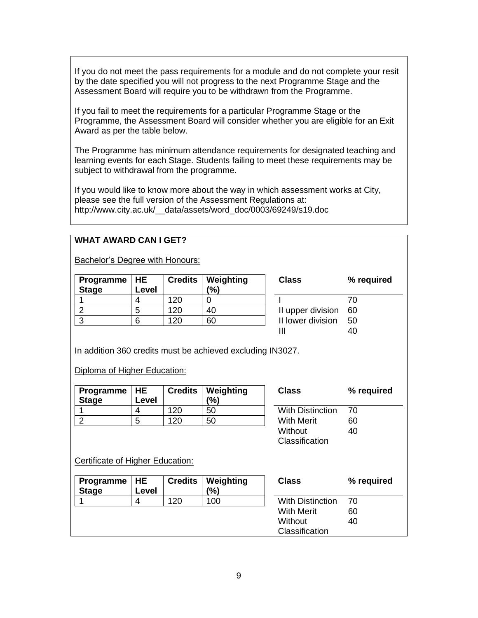If you do not meet the pass requirements for a module and do not complete your resit by the date specified you will not progress to the next Programme Stage and the Assessment Board will require you to be withdrawn from the Programme.

If you fail to meet the requirements for a particular Programme Stage or the Programme, the Assessment Board will consider whether you are eligible for an Exit Award as per the table below.

The Programme has minimum attendance requirements for designated teaching and learning events for each Stage. Students failing to meet these requirements may be subject to withdrawal from the programme.

If you would like to know more about the way in which assessment works at City, please see the full version of the Assessment Regulations at: [http://www.city.ac.uk/\\_\\_data/assets/word\\_doc/0003/69249/s19.doc](http://www.city.ac.uk/__data/assets/word_doc/0003/69249/s19.doc)

### **WHAT AWARD CAN I GET?**

Bachelor's Degree with Honours:

| Programme $ HE$<br><b>Stage</b> | Level |      | <b>Credits   Weighting</b><br>(%) | <b>Class</b>         | %⊣  |
|---------------------------------|-------|------|-----------------------------------|----------------------|-----|
|                                 |       | 120  |                                   |                      | 70  |
|                                 | 5     | 120  | 40                                | II upper division 60 |     |
| 3                               |       | 1 ጋቦ | 60                                | II lower division    | -50 |
|                                 |       |      |                                   |                      |     |

In addition 360 credits must be achieved excluding IN3027.

Diploma of Higher Education:

| Programme   HE<br><b>Stage</b> | Level |     | <b>Credits   Weighting</b><br>(%) | <b>Class</b>            | %  |
|--------------------------------|-------|-----|-----------------------------------|-------------------------|----|
|                                |       | 120 | 50                                | <b>With Distinction</b> | 70 |
|                                |       | 120 | 50                                | <b>With Merit</b>       | 60 |

| Class                   | % required |
|-------------------------|------------|
| <b>With Distinction</b> | 70         |
| With Merit              | 60         |
| Without                 | 40         |
| Classification          |            |

**Class % required**

Certificate of Higher Education:

| Programme $ HE$<br><b>Stage</b> | Level | <b>Credits</b> | Weighting<br>$\frac{10}{6}$ | <b>Class</b>            | % required |
|---------------------------------|-------|----------------|-----------------------------|-------------------------|------------|
|                                 |       | 120            | 100                         | <b>With Distinction</b> | 70         |
|                                 |       |                |                             | <b>With Merit</b>       | 60         |
|                                 |       |                |                             | Without                 | 40         |
|                                 |       |                |                             | Classification          |            |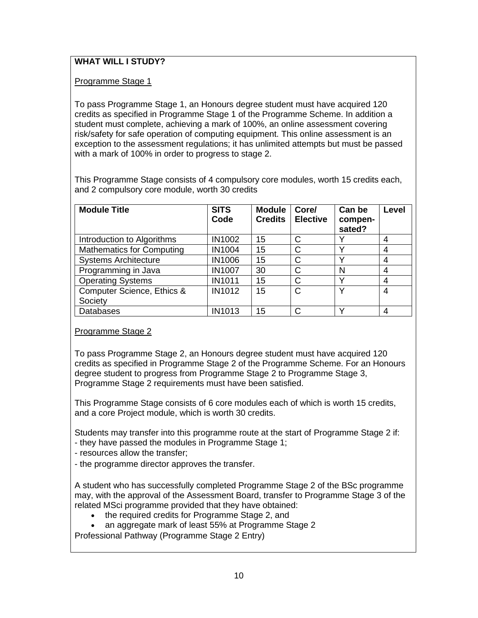# **WHAT WILL I STUDY?**

Programme Stage 1

To pass Programme Stage 1, an Honours degree student must have acquired 120 credits as specified in Programme Stage 1 of the Programme Scheme. In addition a student must complete, achieving a mark of 100%, an online assessment covering risk/safety for safe operation of computing equipment. This online assessment is an exception to the assessment regulations; it has unlimited attempts but must be passed with a mark of 100% in order to progress to stage 2.

This Programme Stage consists of 4 compulsory core modules, worth 15 credits each, and 2 compulsory core module, worth 30 credits

| <b>Module Title</b>              | <b>SITS</b><br>Code | <b>Module</b><br><b>Credits</b> | Core/<br><b>Elective</b> | Can be<br>compen-<br>sated? | Level |
|----------------------------------|---------------------|---------------------------------|--------------------------|-----------------------------|-------|
| Introduction to Algorithms       | IN1002              | 15                              | С                        |                             | 4     |
| <b>Mathematics for Computing</b> | IN1004              | 15                              | C                        | v                           | 4     |
| <b>Systems Architecture</b>      | <b>IN1006</b>       | 15                              | С                        | $\checkmark$                | 4     |
| Programming in Java              | <b>IN1007</b>       | 30                              | C                        | N                           | 4     |
| <b>Operating Systems</b>         | <b>IN1011</b>       | 15                              | C                        | v                           | 4     |
| Computer Science, Ethics &       | <b>IN1012</b>       | 15                              | C                        | v                           | 4     |
| Society                          |                     |                                 |                          |                             |       |
| <b>Databases</b>                 | IN1013              | 15                              | C                        | v                           | 4     |

# Programme Stage 2

To pass Programme Stage 2, an Honours degree student must have acquired 120 credits as specified in Programme Stage 2 of the Programme Scheme. For an Honours degree student to progress from Programme Stage 2 to Programme Stage 3, Programme Stage 2 requirements must have been satisfied.

This Programme Stage consists of 6 core modules each of which is worth 15 credits, and a core Project module, which is worth 30 credits.

Students may transfer into this programme route at the start of Programme Stage 2 if: - they have passed the modules in Programme Stage 1;

- resources allow the transfer;
- the programme director approves the transfer.

A student who has successfully completed Programme Stage 2 of the BSc programme may, with the approval of the Assessment Board, transfer to Programme Stage 3 of the related MSci programme provided that they have obtained:

- the required credits for Programme Stage 2, and
- an aggregate mark of least 55% at Programme Stage 2

Professional Pathway (Programme Stage 2 Entry)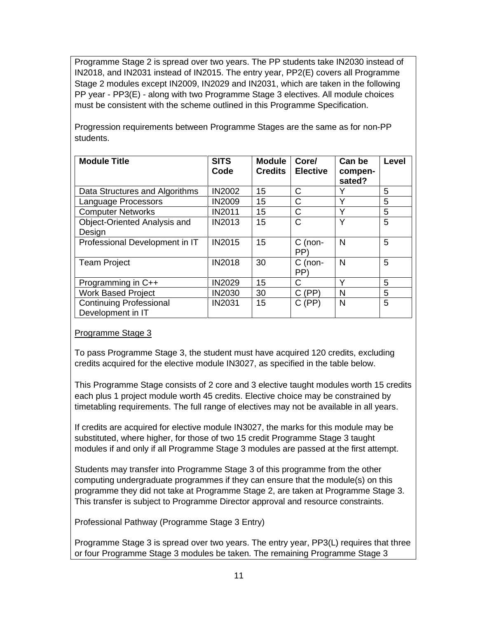Programme Stage 2 is spread over two years. The PP students take IN2030 instead of IN2018, and IN2031 instead of IN2015. The entry year, PP2(E) covers all Programme Stage 2 modules except IN2009, IN2029 and IN2031, which are taken in the following PP year - PP3(E) - along with two Programme Stage 3 electives. All module choices must be consistent with the scheme outlined in this Programme Specification.

Progression requirements between Programme Stages are the same as for non-PP students.

| <b>Module Title</b>                                 | <b>SITS</b><br>Code | <b>Module</b><br><b>Credits</b> | Core/<br><b>Elective</b> | Can be<br>compen-<br>sated? | <b>Level</b> |
|-----------------------------------------------------|---------------------|---------------------------------|--------------------------|-----------------------------|--------------|
| Data Structures and Algorithms                      | <b>IN2002</b>       | 15                              | C                        | Y                           | 5            |
| Language Processors                                 | <b>IN2009</b>       | 15                              | Ć                        | Y                           | 5            |
| <b>Computer Networks</b>                            | <b>IN2011</b>       | 15                              | C                        | Υ                           | 5            |
| Object-Oriented Analysis and                        | <b>IN2013</b>       | 15                              | C                        | Υ                           | 5            |
| Design                                              |                     |                                 |                          |                             |              |
| Professional Development in IT                      | <b>IN2015</b>       | 15                              | $C$ (non-<br>PP)         | N                           | 5            |
| <b>Team Project</b>                                 | <b>IN2018</b>       | 30                              | $C$ (non-<br>PP)         | N                           | 5            |
| Programming in C++                                  | <b>IN2029</b>       | 15                              | C                        | Υ                           | 5            |
| <b>Work Based Project</b>                           | <b>IN2030</b>       | 30                              | C(PP)                    | N                           | 5            |
| <b>Continuing Professional</b><br>Development in IT | <b>IN2031</b>       | 15                              | C(PP)                    | N                           | 5            |

# Programme Stage 3

To pass Programme Stage 3, the student must have acquired 120 credits, excluding credits acquired for the elective module IN3027, as specified in the table below.

This Programme Stage consists of 2 core and 3 elective taught modules worth 15 credits each plus 1 project module worth 45 credits. Elective choice may be constrained by timetabling requirements. The full range of electives may not be available in all years.

If credits are acquired for elective module IN3027, the marks for this module may be substituted, where higher, for those of two 15 credit Programme Stage 3 taught modules if and only if all Programme Stage 3 modules are passed at the first attempt.

Students may transfer into Programme Stage 3 of this programme from the other computing undergraduate programmes if they can ensure that the module(s) on this programme they did not take at Programme Stage 2, are taken at Programme Stage 3. This transfer is subject to Programme Director approval and resource constraints.

Professional Pathway (Programme Stage 3 Entry)

Programme Stage 3 is spread over two years. The entry year, PP3(L) requires that three or four Programme Stage 3 modules be taken. The remaining Programme Stage 3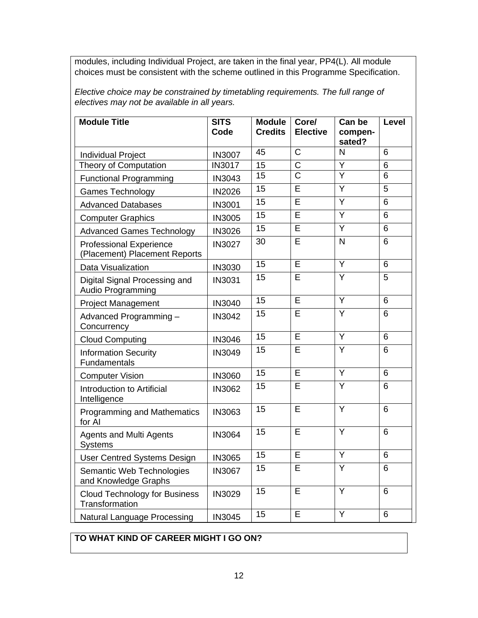modules, including Individual Project, are taken in the final year, PP4(L). All module choices must be consistent with the scheme outlined in this Programme Specification.

*Elective choice may be constrained by timetabling requirements. The full range of electives may not be available in all years.*

| <b>Module Title</b>                                             | <b>SITS</b><br>Code | <b>Module</b><br><b>Credits</b> | Core/<br><b>Elective</b> | Can be<br>compen-<br>sated? | Level          |
|-----------------------------------------------------------------|---------------------|---------------------------------|--------------------------|-----------------------------|----------------|
| <b>Individual Project</b>                                       | <b>IN3007</b>       | 45                              | $\overline{\text{C}}$    | $\overline{N}$              | 6              |
| <b>Theory of Computation</b>                                    | <b>IN3017</b>       | 15                              | $\overline{\text{C}}$    | $\overline{Y}$              | $6\phantom{1}$ |
| <b>Functional Programming</b>                                   | IN3043              | 15                              | $\overline{C}$           | $\overline{\mathsf{Y}}$     | 6              |
| <b>Games Technology</b>                                         | <b>IN2026</b>       | 15                              | E                        | Y                           | 5              |
| <b>Advanced Databases</b>                                       | <b>IN3001</b>       | 15                              | Ē                        | Y                           | 6              |
| <b>Computer Graphics</b>                                        | <b>IN3005</b>       | 15                              | Ē                        | $\overline{Y}$              | 6              |
| <b>Advanced Games Technology</b>                                | <b>IN3026</b>       | $\overline{15}$                 | Ē                        | $\overline{Y}$              | 6              |
| <b>Professional Experience</b><br>(Placement) Placement Reports | <b>IN3027</b>       | 30                              | E                        | N                           | 6              |
| Data Visualization                                              | IN3030              | 15                              | E                        | Y                           | 6              |
| Digital Signal Processing and<br>Audio Programming              | <b>IN3031</b>       | 15                              | E                        | $\overline{Y}$              | 5              |
| <b>Project Management</b>                                       | IN3040              | $\overline{15}$                 | $\overline{\mathsf{E}}$  | $\overline{Y}$              | 6              |
| Advanced Programming-<br>Concurrency                            | IN3042              | 15                              | E                        | Y                           | 6              |
| <b>Cloud Computing</b>                                          | IN3046              | 15                              | E                        | Y                           | 6              |
| <b>Information Security</b><br>Fundamentals                     | IN3049              | 15                              | Ē                        | $\overline{Y}$              | 6              |
| <b>Computer Vision</b>                                          | <b>IN3060</b>       | 15                              | E                        | $\overline{Y}$              | 6              |
| Introduction to Artificial<br>Intelligence                      | IN3062              | 15                              | E                        | $\overline{Y}$              | 6              |
| <b>Programming and Mathematics</b><br>for AI                    | IN3063              | $\overline{15}$                 | Ē                        | $\overline{Y}$              | 6              |
| <b>Agents and Multi Agents</b><br>Systems                       | <b>IN3064</b>       | 15                              | E                        | Y                           | 6              |
| <b>User Centred Systems Design</b>                              | <b>IN3065</b>       | 15                              | E                        | $\overline{Y}$              | 6              |
| Semantic Web Technologies<br>and Knowledge Graphs               | <b>IN3067</b>       | 15                              | E                        | Y                           | 6              |
| <b>Cloud Technology for Business</b><br>Transformation          | IN3029              | 15                              | Ē                        | Y                           | 6              |
| <b>Natural Language Processing</b>                              | <b>IN3045</b>       | 15                              | E                        | Y                           | 6              |

# **TO WHAT KIND OF CAREER MIGHT I GO ON?**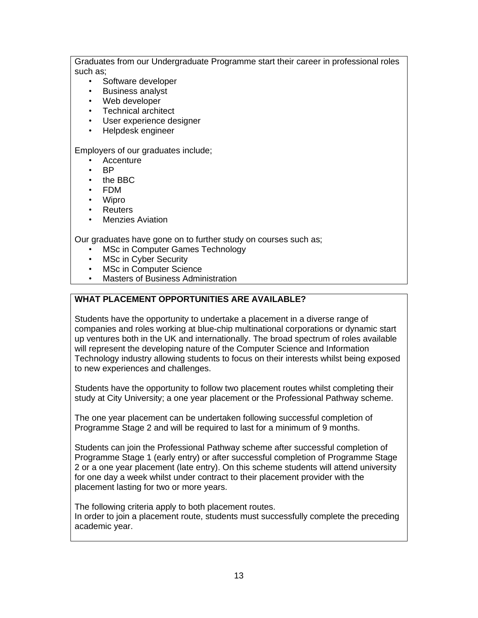Graduates from our Undergraduate Programme start their career in professional roles such as;

- Software developer
- Business analyst
- Web developer
- Technical architect
- User experience designer
- Helpdesk engineer

Employers of our graduates include;

- **Accenture**
- BP
- the BBC
- FDM
- Wipro
- Reuters
- **Menzies Aviation**

Our graduates have gone on to further study on courses such as;

- MSc in Computer Games Technology
- **MSc in Cyber Security**
- MSc in Computer Science
- Masters of Business Administration

# **WHAT PLACEMENT OPPORTUNITIES ARE AVAILABLE?**

Students have the opportunity to undertake a placement in a diverse range of companies and roles working at blue-chip multinational corporations or dynamic start up ventures both in the UK and internationally. The broad spectrum of roles available will represent the developing nature of the Computer Science and Information Technology industry allowing students to focus on their interests whilst being exposed to new experiences and challenges.

Students have the opportunity to follow two placement routes whilst completing their study at City University; a one year placement or the Professional Pathway scheme.

The one year placement can be undertaken following successful completion of Programme Stage 2 and will be required to last for a minimum of 9 months.

Students can join the Professional Pathway scheme after successful completion of Programme Stage 1 (early entry) or after successful completion of Programme Stage 2 or a one year placement (late entry). On this scheme students will attend university for one day a week whilst under contract to their placement provider with the placement lasting for two or more years.

The following criteria apply to both placement routes. In order to join a placement route, students must successfully complete the preceding academic year.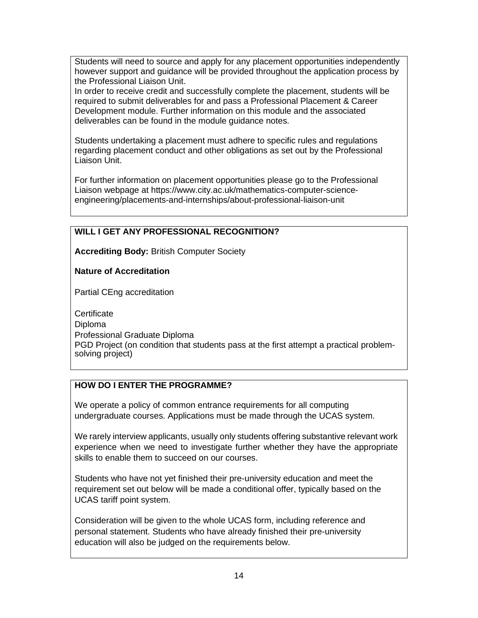Students will need to source and apply for any placement opportunities independently however support and guidance will be provided throughout the application process by the Professional Liaison Unit.

In order to receive credit and successfully complete the placement, students will be required to submit deliverables for and pass a Professional Placement & Career Development module. Further information on this module and the associated deliverables can be found in the module guidance notes.

Students undertaking a placement must adhere to specific rules and regulations regarding placement conduct and other obligations as set out by the Professional Liaison Unit.

For further information on placement opportunities please go to the Professional Liaison webpage at https://www.city.ac.uk/mathematics-computer-scienceengineering/placements-and-internships/about-professional-liaison-unit

# **WILL I GET ANY PROFESSIONAL RECOGNITION?**

**Accrediting Body:** British Computer Society

**Nature of Accreditation**

Partial CEng accreditation

**Certificate** Diploma Professional Graduate Diploma PGD Project (on condition that students pass at the first attempt a practical problemsolving project)

# **HOW DO I ENTER THE PROGRAMME?**

We operate a policy of common entrance requirements for all computing undergraduate courses. Applications must be made through the UCAS system.

We rarely interview applicants, usually only students offering substantive relevant work experience when we need to investigate further whether they have the appropriate skills to enable them to succeed on our courses.

Students who have not yet finished their pre-university education and meet the requirement set out below will be made a conditional offer, typically based on the UCAS tariff point system.

Consideration will be given to the whole UCAS form, including reference and personal statement. Students who have already finished their pre-university education will also be judged on the requirements below.